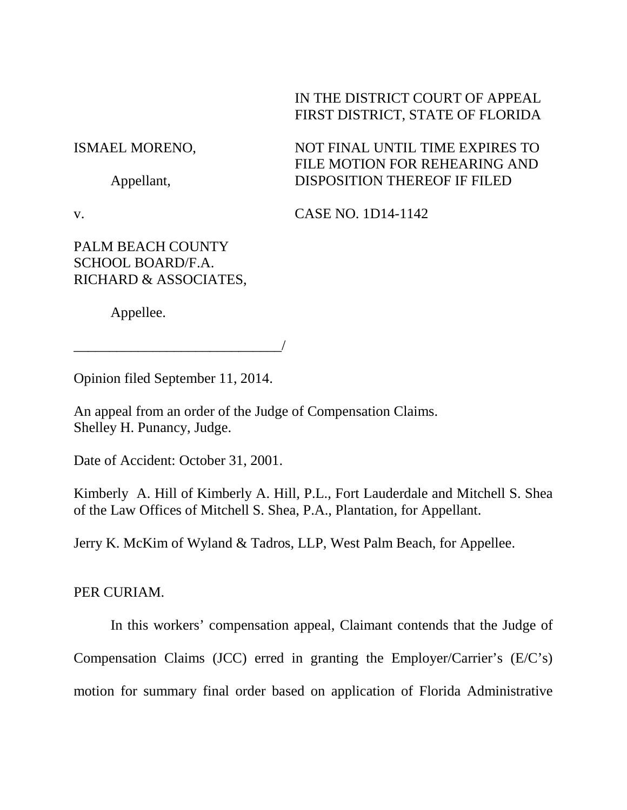# IN THE DISTRICT COURT OF APPEAL FIRST DISTRICT, STATE OF FLORIDA

ISMAEL MORENO,

Appellant,

FILE MOTION FOR REHEARING AND DISPOSITION THEREOF IF FILED

NOT FINAL UNTIL TIME EXPIRES TO

v.

CASE NO. 1D14-1142

PALM BEACH COUNTY SCHOOL BOARD/F.A. RICHARD & ASSOCIATES,

Appellee.

\_\_\_\_\_\_\_\_\_\_\_\_\_\_\_\_\_\_\_\_\_\_\_\_\_\_\_\_\_/

Opinion filed September 11, 2014.

An appeal from an order of the Judge of Compensation Claims. Shelley H. Punancy, Judge.

Date of Accident: October 31, 2001.

Kimberly A. Hill of Kimberly A. Hill, P.L., Fort Lauderdale and Mitchell S. Shea of the Law Offices of Mitchell S. Shea, P.A., Plantation, for Appellant.

Jerry K. McKim of Wyland & Tadros, LLP, West Palm Beach, for Appellee.

PER CURIAM.

In this workers' compensation appeal, Claimant contends that the Judge of

Compensation Claims (JCC) erred in granting the Employer/Carrier's (E/C's)

motion for summary final order based on application of Florida Administrative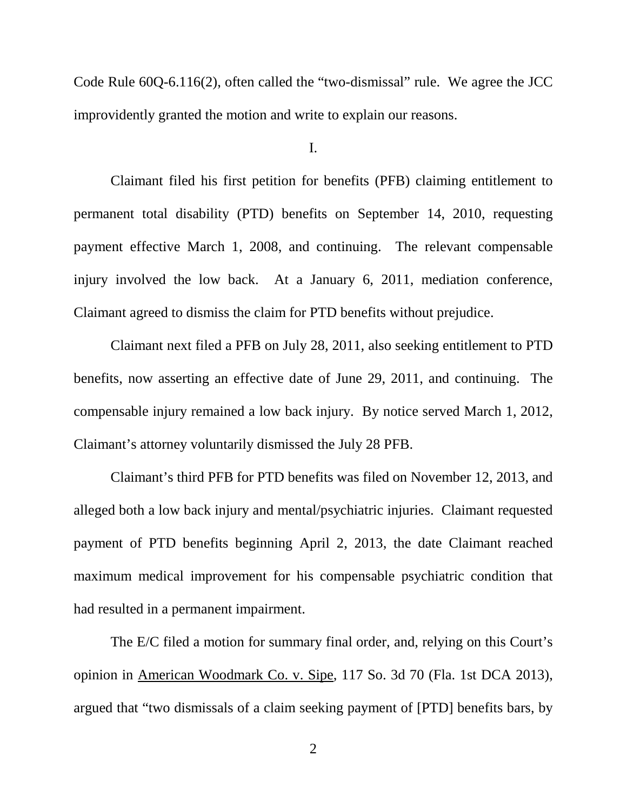Code Rule 60Q-6.116(2), often called the "two-dismissal" rule. We agree the JCC improvidently granted the motion and write to explain our reasons.

### I.

Claimant filed his first petition for benefits (PFB) claiming entitlement to permanent total disability (PTD) benefits on September 14, 2010, requesting payment effective March 1, 2008, and continuing. The relevant compensable injury involved the low back. At a January 6, 2011, mediation conference, Claimant agreed to dismiss the claim for PTD benefits without prejudice.

Claimant next filed a PFB on July 28, 2011, also seeking entitlement to PTD benefits, now asserting an effective date of June 29, 2011, and continuing. The compensable injury remained a low back injury. By notice served March 1, 2012, Claimant's attorney voluntarily dismissed the July 28 PFB.

Claimant's third PFB for PTD benefits was filed on November 12, 2013, and alleged both a low back injury and mental/psychiatric injuries. Claimant requested payment of PTD benefits beginning April 2, 2013, the date Claimant reached maximum medical improvement for his compensable psychiatric condition that had resulted in a permanent impairment.

The E/C filed a motion for summary final order, and, relying on this Court's opinion in American Woodmark Co. v. Sipe, 117 So. 3d 70 (Fla. 1st DCA 2013), argued that "two dismissals of a claim seeking payment of [PTD] benefits bars, by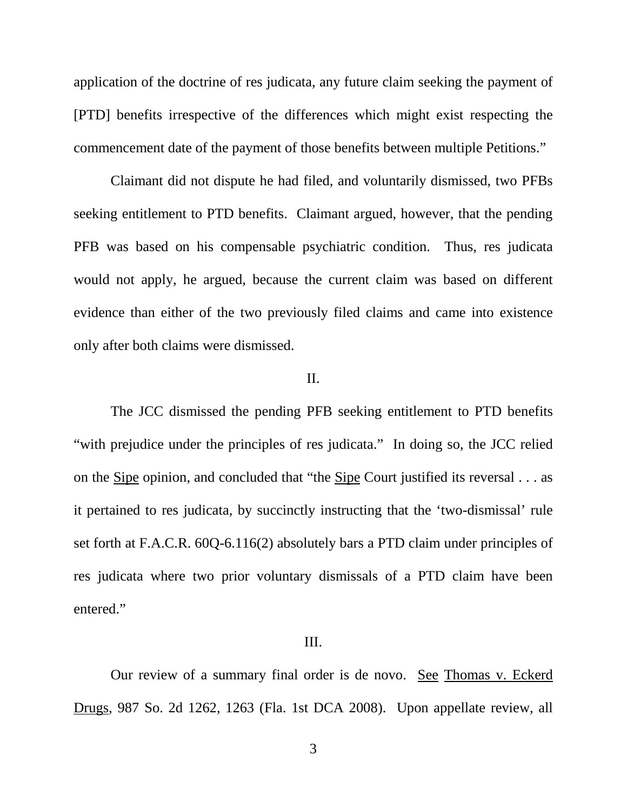application of the doctrine of res judicata, any future claim seeking the payment of [PTD] benefits irrespective of the differences which might exist respecting the commencement date of the payment of those benefits between multiple Petitions."

Claimant did not dispute he had filed, and voluntarily dismissed, two PFBs seeking entitlement to PTD benefits. Claimant argued, however, that the pending PFB was based on his compensable psychiatric condition. Thus, res judicata would not apply, he argued, because the current claim was based on different evidence than either of the two previously filed claims and came into existence only after both claims were dismissed.

## II.

The JCC dismissed the pending PFB seeking entitlement to PTD benefits "with prejudice under the principles of res judicata." In doing so, the JCC relied on the Sipe opinion, and concluded that "the Sipe Court justified its reversal . . . as it pertained to res judicata, by succinctly instructing that the 'two-dismissal' rule set forth at F.A.C.R. 60Q-6.116(2) absolutely bars a PTD claim under principles of res judicata where two prior voluntary dismissals of a PTD claim have been entered."

#### III.

Our review of a summary final order is de novo. See Thomas v. Eckerd Drugs, 987 So. 2d 1262, 1263 (Fla. 1st DCA 2008). Upon appellate review, all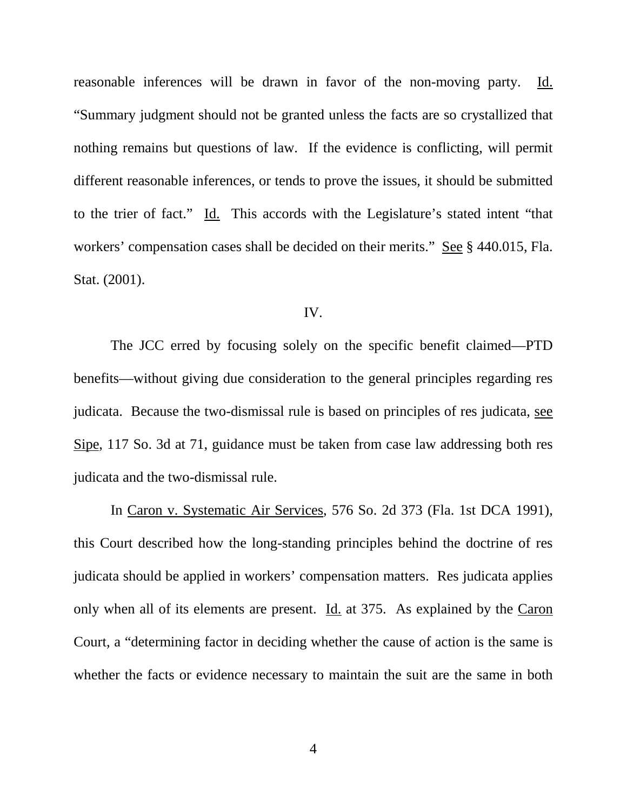reasonable inferences will be drawn in favor of the non-moving party. Id. "Summary judgment should not be granted unless the facts are so crystallized that nothing remains but questions of law. If the evidence is conflicting, will permit different reasonable inferences, or tends to prove the issues, it should be submitted to the trier of fact." Id. This accords with the Legislature's stated intent "that workers' compensation cases shall be decided on their merits." See § 440.015, Fla. Stat. (2001).

#### IV.

The JCC erred by focusing solely on the specific benefit claimed—PTD benefits—without giving due consideration to the general principles regarding res judicata. Because the two-dismissal rule is based on principles of res judicata, see Sipe, 117 So. 3d at 71, guidance must be taken from case law addressing both res judicata and the two-dismissal rule.

In Caron v. Systematic Air Services, 576 So. 2d 373 (Fla. 1st DCA 1991), this Court described how the long-standing principles behind the doctrine of res judicata should be applied in workers' compensation matters. Res judicata applies only when all of its elements are present. Id. at 375. As explained by the Caron Court, a "determining factor in deciding whether the cause of action is the same is whether the facts or evidence necessary to maintain the suit are the same in both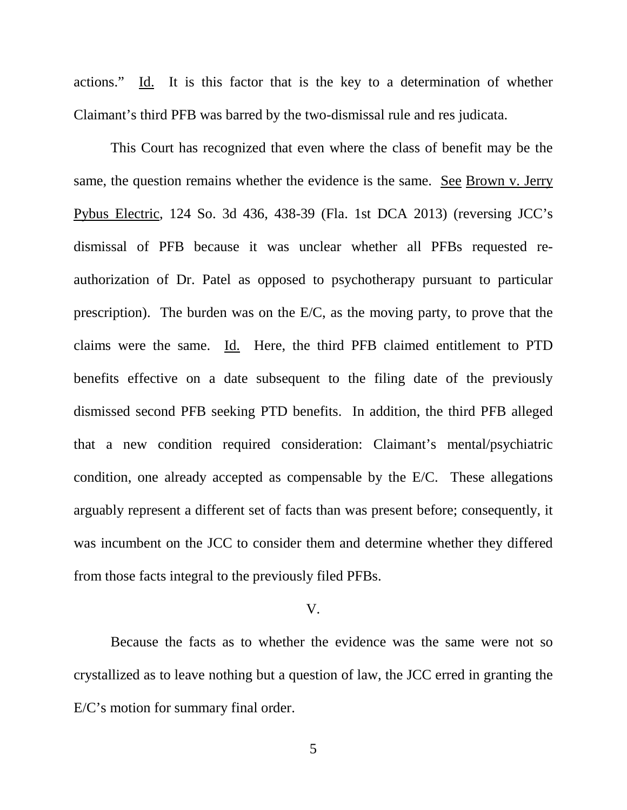actions." Id. It is this factor that is the key to a determination of whether Claimant's third PFB was barred by the two-dismissal rule and res judicata.

This Court has recognized that even where the class of benefit may be the same, the question remains whether the evidence is the same. See Brown v. Jerry Pybus Electric, 124 So. 3d 436, 438-39 (Fla. 1st DCA 2013) (reversing JCC's dismissal of PFB because it was unclear whether all PFBs requested reauthorization of Dr. Patel as opposed to psychotherapy pursuant to particular prescription). The burden was on the E/C, as the moving party, to prove that the claims were the same. Id. Here, the third PFB claimed entitlement to PTD benefits effective on a date subsequent to the filing date of the previously dismissed second PFB seeking PTD benefits. In addition, the third PFB alleged that a new condition required consideration: Claimant's mental/psychiatric condition, one already accepted as compensable by the E/C. These allegations arguably represent a different set of facts than was present before; consequently, it was incumbent on the JCC to consider them and determine whether they differed from those facts integral to the previously filed PFBs.

#### V.

Because the facts as to whether the evidence was the same were not so crystallized as to leave nothing but a question of law, the JCC erred in granting the E/C's motion for summary final order.